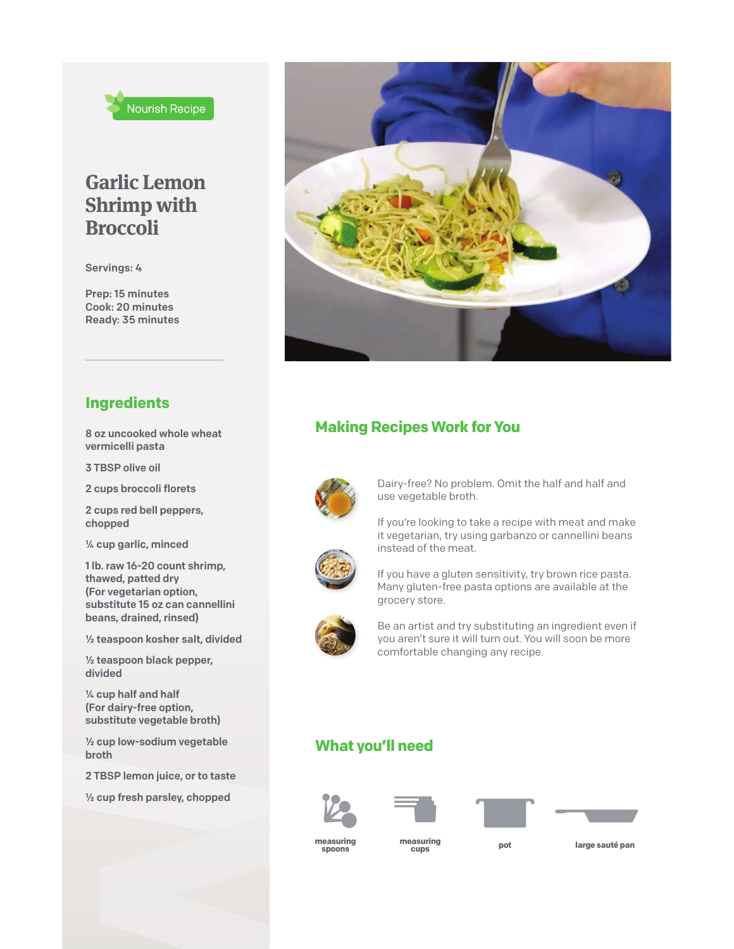

## **Garlic Lemon Shrimp with Broccoli**

Servings: 4

Prep: 15 minutes Cook: 20 minutes Ready: 35 minutes

#### **Ingredients**

8 oz uncooked whole wheat vermicelli pasta

3 TBSP olive oil

2 cups broccoli florets

2 cups red bell peppers, chopped

¼ cup garlic, minced

1 lb. raw 16-20 count shrimp, thawed, patted dry (For vegetarian option, substitute 15 oz can cannellini beans, drained, rinsed)

½ teaspoon kosher salt, divided

½ teaspoon black pepper, divided

¼ cup half and half (For dairy-free option, substitute vegetable broth)

½ cup low-sodium vegetable broth

2 TBSP lemon juice, or to taste

½ cup fresh parsley, chopped



## **Making Recipes Work for You**



Dairy-free? No problem. Omit the half and half and use vegetable broth.

If you're looking to take a recipe with meat and make it vegetarian, try using garbanzo or cannellini beans instead of the meat.



If you have a gluten sensitivity, try brown rice pasta. Many gluten-free pasta options are available at the grocery store.



Be an artist and try substituting an ingredient even if you aren't sure it will turn out. You will soon be more comfortable changing any recipe.

### **What you'll need**









**measuring** measuring<br>spoons cups

**measuring large sauté pan cups**